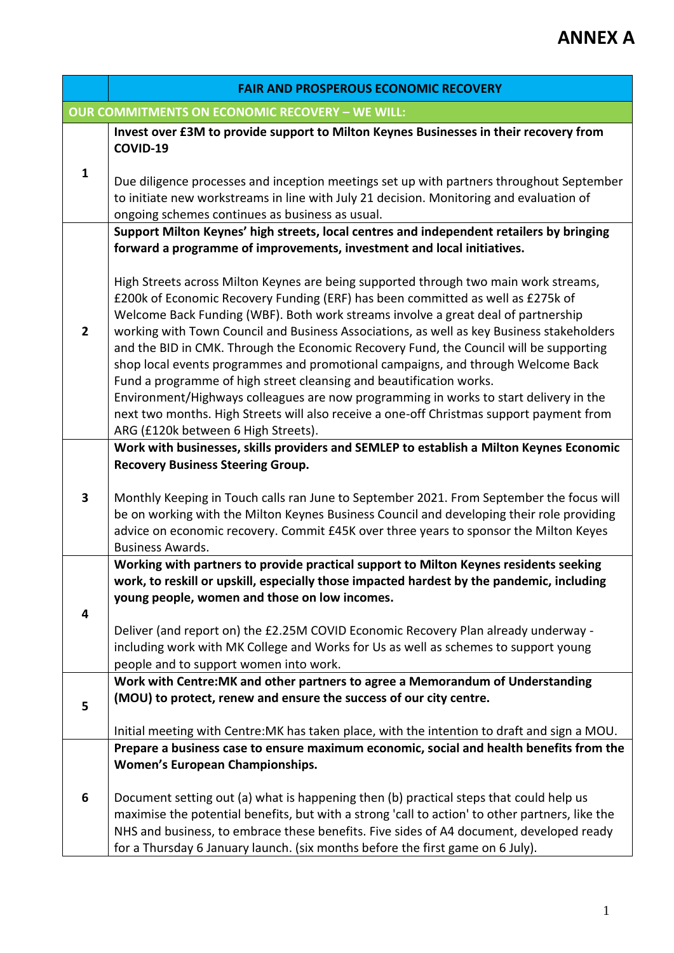|              | <b>FAIR AND PROSPEROUS ECONOMIC RECOVERY</b>                                                                                                                                                                                                                                                                                                                                                                                                                                                                                                                                                                                                                                                                                                                                                                                               |
|--------------|--------------------------------------------------------------------------------------------------------------------------------------------------------------------------------------------------------------------------------------------------------------------------------------------------------------------------------------------------------------------------------------------------------------------------------------------------------------------------------------------------------------------------------------------------------------------------------------------------------------------------------------------------------------------------------------------------------------------------------------------------------------------------------------------------------------------------------------------|
|              | <b>OUR COMMITMENTS ON ECONOMIC RECOVERY - WE WILL:</b>                                                                                                                                                                                                                                                                                                                                                                                                                                                                                                                                                                                                                                                                                                                                                                                     |
|              | Invest over £3M to provide support to Milton Keynes Businesses in their recovery from<br>COVID-19                                                                                                                                                                                                                                                                                                                                                                                                                                                                                                                                                                                                                                                                                                                                          |
| $\mathbf{1}$ | Due diligence processes and inception meetings set up with partners throughout September<br>to initiate new workstreams in line with July 21 decision. Monitoring and evaluation of<br>ongoing schemes continues as business as usual.                                                                                                                                                                                                                                                                                                                                                                                                                                                                                                                                                                                                     |
|              | Support Milton Keynes' high streets, local centres and independent retailers by bringing                                                                                                                                                                                                                                                                                                                                                                                                                                                                                                                                                                                                                                                                                                                                                   |
|              | forward a programme of improvements, investment and local initiatives.                                                                                                                                                                                                                                                                                                                                                                                                                                                                                                                                                                                                                                                                                                                                                                     |
| $\mathbf{2}$ | High Streets across Milton Keynes are being supported through two main work streams,<br>£200k of Economic Recovery Funding (ERF) has been committed as well as £275k of<br>Welcome Back Funding (WBF). Both work streams involve a great deal of partnership<br>working with Town Council and Business Associations, as well as key Business stakeholders<br>and the BID in CMK. Through the Economic Recovery Fund, the Council will be supporting<br>shop local events programmes and promotional campaigns, and through Welcome Back<br>Fund a programme of high street cleansing and beautification works.<br>Environment/Highways colleagues are now programming in works to start delivery in the<br>next two months. High Streets will also receive a one-off Christmas support payment from<br>ARG (£120k between 6 High Streets). |
|              | Work with businesses, skills providers and SEMLEP to establish a Milton Keynes Economic                                                                                                                                                                                                                                                                                                                                                                                                                                                                                                                                                                                                                                                                                                                                                    |
| 3            | <b>Recovery Business Steering Group.</b><br>Monthly Keeping in Touch calls ran June to September 2021. From September the focus will<br>be on working with the Milton Keynes Business Council and developing their role providing<br>advice on economic recovery. Commit £45K over three years to sponsor the Milton Keyes<br><b>Business Awards.</b>                                                                                                                                                                                                                                                                                                                                                                                                                                                                                      |
|              | Working with partners to provide practical support to Milton Keynes residents seeking                                                                                                                                                                                                                                                                                                                                                                                                                                                                                                                                                                                                                                                                                                                                                      |
| 4            | work, to reskill or upskill, especially those impacted hardest by the pandemic, including<br>young people, women and those on low incomes.                                                                                                                                                                                                                                                                                                                                                                                                                                                                                                                                                                                                                                                                                                 |
|              | Deliver (and report on) the £2.25M COVID Economic Recovery Plan already underway -                                                                                                                                                                                                                                                                                                                                                                                                                                                                                                                                                                                                                                                                                                                                                         |
|              | including work with MK College and Works for Us as well as schemes to support young<br>people and to support women into work.                                                                                                                                                                                                                                                                                                                                                                                                                                                                                                                                                                                                                                                                                                              |
|              | Work with Centre: MK and other partners to agree a Memorandum of Understanding                                                                                                                                                                                                                                                                                                                                                                                                                                                                                                                                                                                                                                                                                                                                                             |
| 5            | (MOU) to protect, renew and ensure the success of our city centre.                                                                                                                                                                                                                                                                                                                                                                                                                                                                                                                                                                                                                                                                                                                                                                         |
|              |                                                                                                                                                                                                                                                                                                                                                                                                                                                                                                                                                                                                                                                                                                                                                                                                                                            |
|              | Initial meeting with Centre: MK has taken place, with the intention to draft and sign a MOU.<br>Prepare a business case to ensure maximum economic, social and health benefits from the                                                                                                                                                                                                                                                                                                                                                                                                                                                                                                                                                                                                                                                    |
|              | <b>Women's European Championships.</b>                                                                                                                                                                                                                                                                                                                                                                                                                                                                                                                                                                                                                                                                                                                                                                                                     |
|              |                                                                                                                                                                                                                                                                                                                                                                                                                                                                                                                                                                                                                                                                                                                                                                                                                                            |
| 6            | Document setting out (a) what is happening then (b) practical steps that could help us<br>maximise the potential benefits, but with a strong 'call to action' to other partners, like the<br>NHS and business, to embrace these benefits. Five sides of A4 document, developed ready<br>for a Thursday 6 January launch. (six months before the first game on 6 July).                                                                                                                                                                                                                                                                                                                                                                                                                                                                     |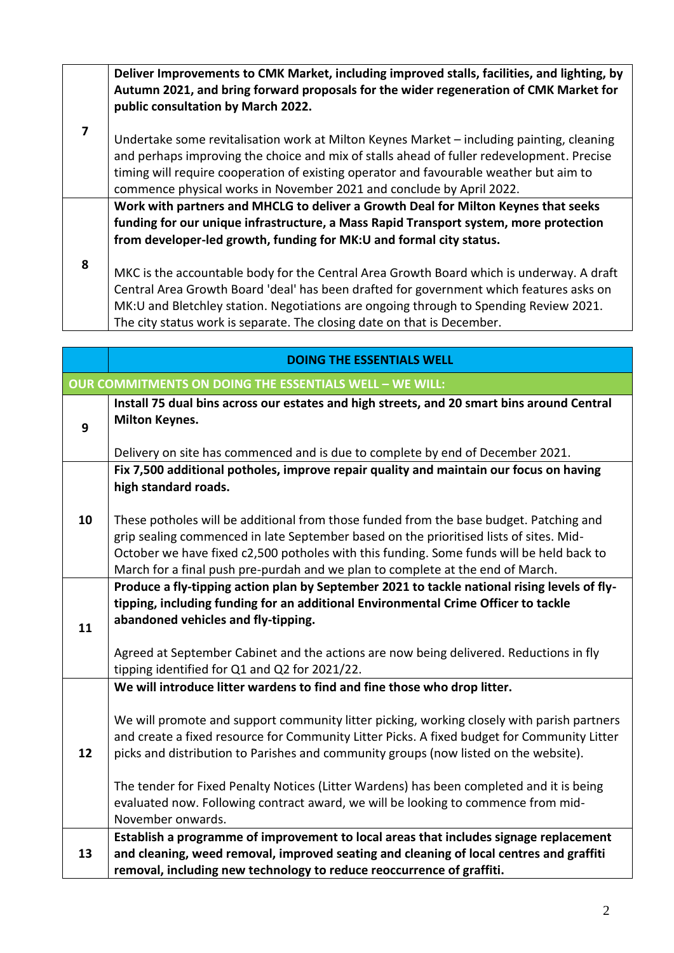**Deliver Improvements to CMK Market, including improved stalls, facilities, and lighting, by Autumn 2021, and bring forward proposals for the wider regeneration of CMK Market for public consultation by March 2022.**

**7** Undertake some revitalisation work at Milton Keynes Market – including painting, cleaning and perhaps improving the choice and mix of stalls ahead of fuller redevelopment. Precise timing will require cooperation of existing operator and favourable weather but aim to commence physical works in November 2021 and conclude by April 2022.

**Work with partners and MHCLG to deliver a Growth Deal for Milton Keynes that seeks funding for our unique infrastructure, a Mass Rapid Transport system, more protection from developer-led growth, funding for MK:U and formal city status.**

**8** MKC is the accountable body for the Central Area Growth Board which is underway. A draft Central Area Growth Board 'deal' has been drafted for government which features asks on MK:U and Bletchley station. Negotiations are ongoing through to Spending Review 2021. The city status work is separate. The closing date on that is December.

|    | <b>DOING THE ESSENTIALS WELL</b>                                                                                                                                                                                                                                                                                                                                                                                                                                                                                                                                    |
|----|---------------------------------------------------------------------------------------------------------------------------------------------------------------------------------------------------------------------------------------------------------------------------------------------------------------------------------------------------------------------------------------------------------------------------------------------------------------------------------------------------------------------------------------------------------------------|
|    | OUR COMMITMENTS ON DOING THE ESSENTIALS WELL - WE WILL:                                                                                                                                                                                                                                                                                                                                                                                                                                                                                                             |
| 9  | Install 75 dual bins across our estates and high streets, and 20 smart bins around Central<br><b>Milton Keynes.</b>                                                                                                                                                                                                                                                                                                                                                                                                                                                 |
|    | Delivery on site has commenced and is due to complete by end of December 2021.                                                                                                                                                                                                                                                                                                                                                                                                                                                                                      |
|    | Fix 7,500 additional potholes, improve repair quality and maintain our focus on having<br>high standard roads.                                                                                                                                                                                                                                                                                                                                                                                                                                                      |
| 10 | These potholes will be additional from those funded from the base budget. Patching and<br>grip sealing commenced in late September based on the prioritised lists of sites. Mid-<br>October we have fixed c2,500 potholes with this funding. Some funds will be held back to<br>March for a final push pre-purdah and we plan to complete at the end of March.                                                                                                                                                                                                      |
| 11 | Produce a fly-tipping action plan by September 2021 to tackle national rising levels of fly-<br>tipping, including funding for an additional Environmental Crime Officer to tackle<br>abandoned vehicles and fly-tipping.<br>Agreed at September Cabinet and the actions are now being delivered. Reductions in fly                                                                                                                                                                                                                                                 |
|    | tipping identified for Q1 and Q2 for 2021/22.                                                                                                                                                                                                                                                                                                                                                                                                                                                                                                                       |
| 12 | We will introduce litter wardens to find and fine those who drop litter.<br>We will promote and support community litter picking, working closely with parish partners<br>and create a fixed resource for Community Litter Picks. A fixed budget for Community Litter<br>picks and distribution to Parishes and community groups (now listed on the website).<br>The tender for Fixed Penalty Notices (Litter Wardens) has been completed and it is being<br>evaluated now. Following contract award, we will be looking to commence from mid-<br>November onwards. |
|    | Establish a programme of improvement to local areas that includes signage replacement                                                                                                                                                                                                                                                                                                                                                                                                                                                                               |
| 13 | and cleaning, weed removal, improved seating and cleaning of local centres and graffiti                                                                                                                                                                                                                                                                                                                                                                                                                                                                             |
|    | removal, including new technology to reduce reoccurrence of graffiti.                                                                                                                                                                                                                                                                                                                                                                                                                                                                                               |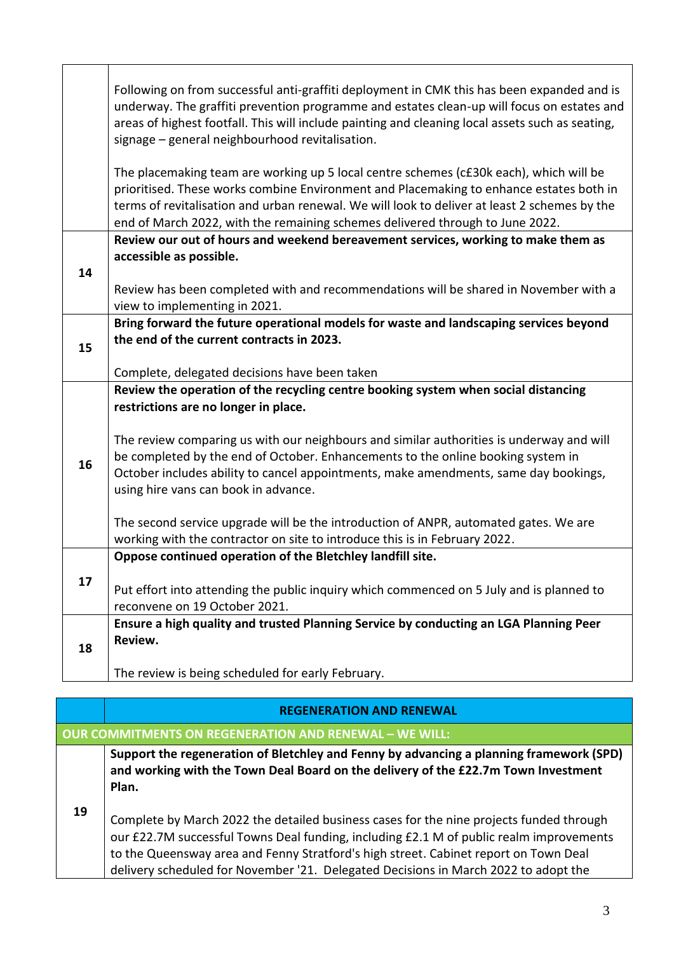|    | Following on from successful anti-graffiti deployment in CMK this has been expanded and is<br>underway. The graffiti prevention programme and estates clean-up will focus on estates and<br>areas of highest footfall. This will include painting and cleaning local assets such as seating,<br>signage - general neighbourhood revitalisation.                    |
|----|--------------------------------------------------------------------------------------------------------------------------------------------------------------------------------------------------------------------------------------------------------------------------------------------------------------------------------------------------------------------|
|    | The placemaking team are working up 5 local centre schemes (c£30k each), which will be<br>prioritised. These works combine Environment and Placemaking to enhance estates both in<br>terms of revitalisation and urban renewal. We will look to deliver at least 2 schemes by the<br>end of March 2022, with the remaining schemes delivered through to June 2022. |
| 14 | Review our out of hours and weekend bereavement services, working to make them as<br>accessible as possible.<br>Review has been completed with and recommendations will be shared in November with a                                                                                                                                                               |
|    | view to implementing in 2021.<br>Bring forward the future operational models for waste and landscaping services beyond                                                                                                                                                                                                                                             |
| 15 | the end of the current contracts in 2023.<br>Complete, delegated decisions have been taken                                                                                                                                                                                                                                                                         |
|    | Review the operation of the recycling centre booking system when social distancing                                                                                                                                                                                                                                                                                 |
| 16 | restrictions are no longer in place.<br>The review comparing us with our neighbours and similar authorities is underway and will<br>be completed by the end of October. Enhancements to the online booking system in<br>October includes ability to cancel appointments, make amendments, same day bookings,<br>using hire vans can book in advance.               |
|    | The second service upgrade will be the introduction of ANPR, automated gates. We are<br>working with the contractor on site to introduce this is in February 2022.                                                                                                                                                                                                 |
|    | Oppose continued operation of the Bletchley landfill site.                                                                                                                                                                                                                                                                                                         |
| 17 | Put effort into attending the public inquiry which commenced on 5 July and is planned to<br>reconvene on 19 October 2021.                                                                                                                                                                                                                                          |
| 18 | Ensure a high quality and trusted Planning Service by conducting an LGA Planning Peer<br>Review.                                                                                                                                                                                                                                                                   |
|    | The review is being scheduled for early February.                                                                                                                                                                                                                                                                                                                  |

|    | <b>REGENERATION AND RENEWAL</b>                                                                                                                                                                                                                                                                                                                                   |  |
|----|-------------------------------------------------------------------------------------------------------------------------------------------------------------------------------------------------------------------------------------------------------------------------------------------------------------------------------------------------------------------|--|
|    | <b>OUR COMMITMENTS ON REGENERATION AND RENEWAL - WE WILL:</b>                                                                                                                                                                                                                                                                                                     |  |
|    | Support the regeneration of Bletchley and Fenny by advancing a planning framework (SPD)<br>and working with the Town Deal Board on the delivery of the £22.7m Town Investment<br>Plan.                                                                                                                                                                            |  |
| 19 | Complete by March 2022 the detailed business cases for the nine projects funded through<br>our £22.7M successful Towns Deal funding, including £2.1 M of public realm improvements<br>to the Queensway area and Fenny Stratford's high street. Cabinet report on Town Deal<br>delivery scheduled for November '21. Delegated Decisions in March 2022 to adopt the |  |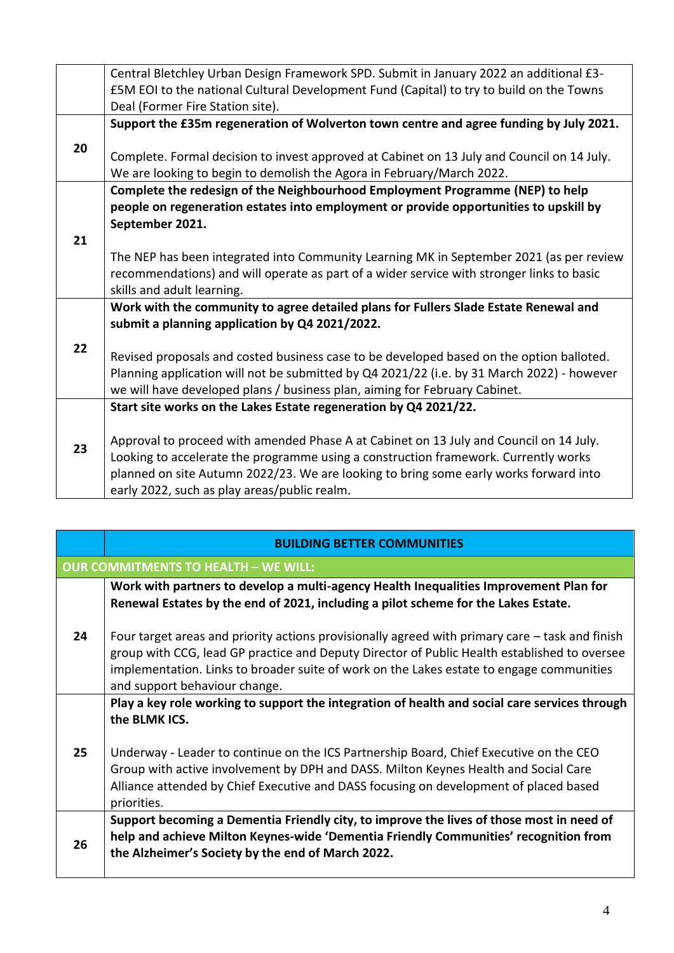|    | Central Bletchley Urban Design Framework SPD. Submit in January 2022 an additional £3-     |
|----|--------------------------------------------------------------------------------------------|
|    | £5M EOI to the national Cultural Development Fund (Capital) to try to build on the Towns   |
|    | Deal (Former Fire Station site).                                                           |
|    | Support the £35m regeneration of Wolverton town centre and agree funding by July 2021.     |
| 20 |                                                                                            |
|    | Complete. Formal decision to invest approved at Cabinet on 13 July and Council on 14 July. |
|    | We are looking to begin to demolish the Agora in February/March 2022.                      |
|    | Complete the redesign of the Neighbourhood Employment Programme (NEP) to help              |
|    | people on regeneration estates into employment or provide opportunities to upskill by      |
|    | September 2021.                                                                            |
| 21 |                                                                                            |
|    | The NEP has been integrated into Community Learning MK in September 2021 (as per review    |
|    | recommendations) and will operate as part of a wider service with stronger links to basic  |
|    | skills and adult learning.                                                                 |
|    | Work with the community to agree detailed plans for Fullers Slade Estate Renewal and       |
|    | submit a planning application by Q4 2021/2022.                                             |
| 22 |                                                                                            |
|    | Revised proposals and costed business case to be developed based on the option balloted.   |
|    | Planning application will not be submitted by Q4 2021/22 (i.e. by 31 March 2022) - however |
|    | we will have developed plans / business plan, aiming for February Cabinet.                 |
|    | Start site works on the Lakes Estate regeneration by Q4 2021/22.                           |
|    |                                                                                            |
| 23 | Approval to proceed with amended Phase A at Cabinet on 13 July and Council on 14 July.     |
|    | Looking to accelerate the programme using a construction framework. Currently works        |
|    | planned on site Autumn 2022/23. We are looking to bring some early works forward into      |
|    | early 2022, such as play areas/public realm.                                               |

|    | <b>BUILDING BETTER COMMUNITIES</b>                                                                                                                                                                                                                                                                                           |
|----|------------------------------------------------------------------------------------------------------------------------------------------------------------------------------------------------------------------------------------------------------------------------------------------------------------------------------|
|    | <b>OUR COMMITMENTS TO HEALTH - WE WILL:</b>                                                                                                                                                                                                                                                                                  |
| 24 | Work with partners to develop a multi-agency Health Inequalities Improvement Plan for<br>Renewal Estates by the end of 2021, including a pilot scheme for the Lakes Estate.                                                                                                                                                  |
|    | Four target areas and priority actions provisionally agreed with primary care – task and finish<br>group with CCG, lead GP practice and Deputy Director of Public Health established to oversee<br>implementation. Links to broader suite of work on the Lakes estate to engage communities<br>and support behaviour change. |
|    | Play a key role working to support the integration of health and social care services through<br>the BLMK ICS.                                                                                                                                                                                                               |
| 25 | Underway - Leader to continue on the ICS Partnership Board, Chief Executive on the CEO<br>Group with active involvement by DPH and DASS. Milton Keynes Health and Social Care<br>Alliance attended by Chief Executive and DASS focusing on development of placed based<br>priorities.                                        |
| 26 | Support becoming a Dementia Friendly city, to improve the lives of those most in need of<br>help and achieve Milton Keynes-wide 'Dementia Friendly Communities' recognition from<br>the Alzheimer's Society by the end of March 2022.                                                                                        |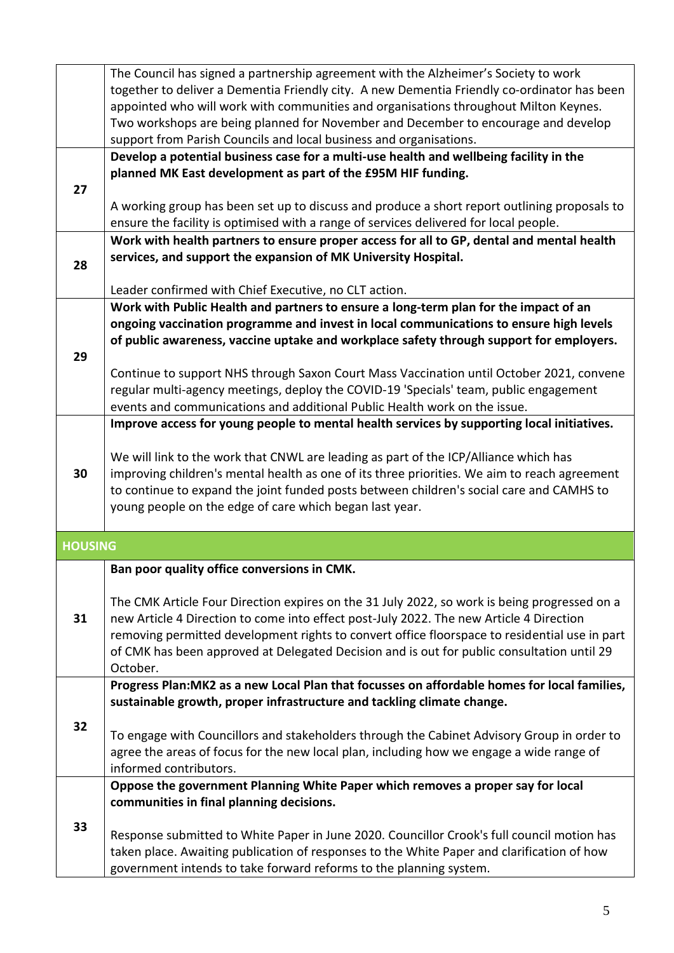|                | The Council has signed a partnership agreement with the Alzheimer's Society to work                                                                                                  |
|----------------|--------------------------------------------------------------------------------------------------------------------------------------------------------------------------------------|
|                | together to deliver a Dementia Friendly city. A new Dementia Friendly co-ordinator has been                                                                                          |
|                | appointed who will work with communities and organisations throughout Milton Keynes.                                                                                                 |
|                | Two workshops are being planned for November and December to encourage and develop                                                                                                   |
|                | support from Parish Councils and local business and organisations.                                                                                                                   |
|                | Develop a potential business case for a multi-use health and wellbeing facility in the                                                                                               |
|                | planned MK East development as part of the £95M HIF funding.                                                                                                                         |
| 27             |                                                                                                                                                                                      |
|                | A working group has been set up to discuss and produce a short report outlining proposals to                                                                                         |
|                | ensure the facility is optimised with a range of services delivered for local people.                                                                                                |
|                | Work with health partners to ensure proper access for all to GP, dental and mental health                                                                                            |
| 28             | services, and support the expansion of MK University Hospital.                                                                                                                       |
|                |                                                                                                                                                                                      |
|                | Leader confirmed with Chief Executive, no CLT action.                                                                                                                                |
|                | Work with Public Health and partners to ensure a long-term plan for the impact of an                                                                                                 |
|                | ongoing vaccination programme and invest in local communications to ensure high levels                                                                                               |
|                | of public awareness, vaccine uptake and workplace safety through support for employers.                                                                                              |
| 29             |                                                                                                                                                                                      |
|                | Continue to support NHS through Saxon Court Mass Vaccination until October 2021, convene                                                                                             |
|                | regular multi-agency meetings, deploy the COVID-19 'Specials' team, public engagement                                                                                                |
|                | events and communications and additional Public Health work on the issue.                                                                                                            |
|                | Improve access for young people to mental health services by supporting local initiatives.                                                                                           |
|                |                                                                                                                                                                                      |
| 30             | We will link to the work that CNWL are leading as part of the ICP/Alliance which has<br>improving children's mental health as one of its three priorities. We aim to reach agreement |
|                | to continue to expand the joint funded posts between children's social care and CAMHS to                                                                                             |
|                | young people on the edge of care which began last year.                                                                                                                              |
|                |                                                                                                                                                                                      |
| <b>HOUSING</b> |                                                                                                                                                                                      |
|                |                                                                                                                                                                                      |
|                | Ban poor quality office conversions in CMK.                                                                                                                                          |
|                | The CMK Article Four Direction expires on the 31 July 2022, so work is being progressed on a                                                                                         |
| 31             | new Article 4 Direction to come into effect post-July 2022. The new Article 4 Direction                                                                                              |
|                | removing permitted development rights to convert office floorspace to residential use in part                                                                                        |
|                | of CMK has been approved at Delegated Decision and is out for public consultation until 29                                                                                           |
|                | October.                                                                                                                                                                             |
|                | Progress Plan: MK2 as a new Local Plan that focusses on affordable homes for local families,                                                                                         |
|                | sustainable growth, proper infrastructure and tackling climate change.                                                                                                               |
| 32             |                                                                                                                                                                                      |
|                | To engage with Councillors and stakeholders through the Cabinet Advisory Group in order to                                                                                           |
|                | agree the areas of focus for the new local plan, including how we engage a wide range of                                                                                             |
|                | informed contributors.                                                                                                                                                               |
|                | Oppose the government Planning White Paper which removes a proper say for local                                                                                                      |
|                | communities in final planning decisions.                                                                                                                                             |
| 33             |                                                                                                                                                                                      |
|                | Response submitted to White Paper in June 2020. Councillor Crook's full council motion has                                                                                           |
|                | taken place. Awaiting publication of responses to the White Paper and clarification of how                                                                                           |
|                | government intends to take forward reforms to the planning system.                                                                                                                   |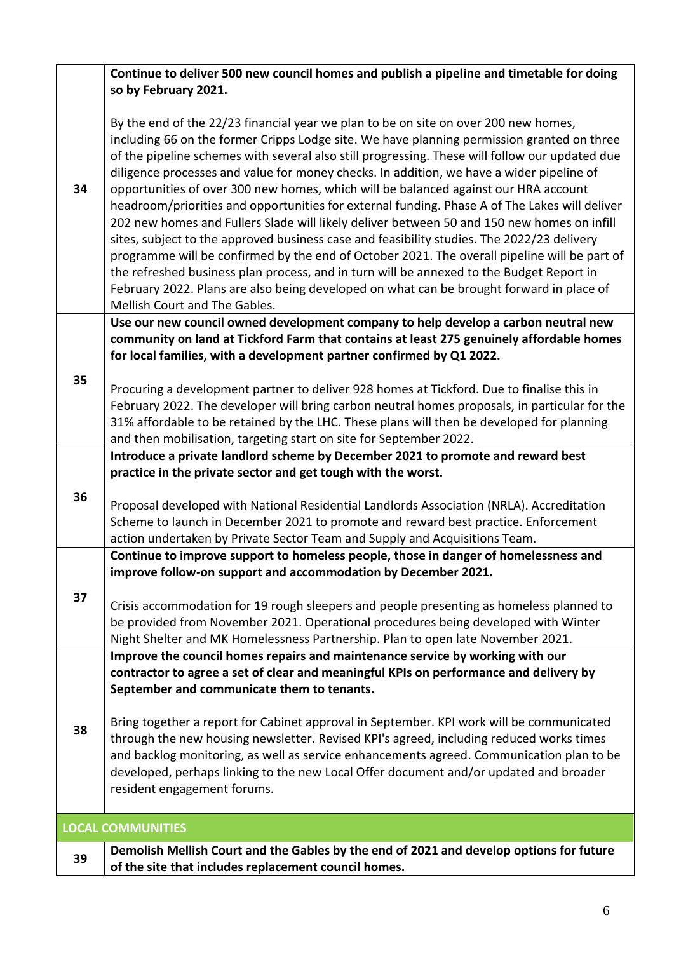|    | Continue to deliver 500 new council homes and publish a pipeline and timetable for doing                                                                                                                                                                                                                                                                                                                                                                                                                                                                                                                                                                                                                                                                                                                                                                                                                                                                                                                                                                                                     |
|----|----------------------------------------------------------------------------------------------------------------------------------------------------------------------------------------------------------------------------------------------------------------------------------------------------------------------------------------------------------------------------------------------------------------------------------------------------------------------------------------------------------------------------------------------------------------------------------------------------------------------------------------------------------------------------------------------------------------------------------------------------------------------------------------------------------------------------------------------------------------------------------------------------------------------------------------------------------------------------------------------------------------------------------------------------------------------------------------------|
|    | so by February 2021.                                                                                                                                                                                                                                                                                                                                                                                                                                                                                                                                                                                                                                                                                                                                                                                                                                                                                                                                                                                                                                                                         |
| 34 | By the end of the 22/23 financial year we plan to be on site on over 200 new homes,<br>including 66 on the former Cripps Lodge site. We have planning permission granted on three<br>of the pipeline schemes with several also still progressing. These will follow our updated due<br>diligence processes and value for money checks. In addition, we have a wider pipeline of<br>opportunities of over 300 new homes, which will be balanced against our HRA account<br>headroom/priorities and opportunities for external funding. Phase A of The Lakes will deliver<br>202 new homes and Fullers Slade will likely deliver between 50 and 150 new homes on infill<br>sites, subject to the approved business case and feasibility studies. The 2022/23 delivery<br>programme will be confirmed by the end of October 2021. The overall pipeline will be part of<br>the refreshed business plan process, and in turn will be annexed to the Budget Report in<br>February 2022. Plans are also being developed on what can be brought forward in place of<br>Mellish Court and The Gables. |
|    | Use our new council owned development company to help develop a carbon neutral new<br>community on land at Tickford Farm that contains at least 275 genuinely affordable homes                                                                                                                                                                                                                                                                                                                                                                                                                                                                                                                                                                                                                                                                                                                                                                                                                                                                                                               |
|    | for local families, with a development partner confirmed by Q1 2022.                                                                                                                                                                                                                                                                                                                                                                                                                                                                                                                                                                                                                                                                                                                                                                                                                                                                                                                                                                                                                         |
| 35 |                                                                                                                                                                                                                                                                                                                                                                                                                                                                                                                                                                                                                                                                                                                                                                                                                                                                                                                                                                                                                                                                                              |
|    | Procuring a development partner to deliver 928 homes at Tickford. Due to finalise this in<br>February 2022. The developer will bring carbon neutral homes proposals, in particular for the                                                                                                                                                                                                                                                                                                                                                                                                                                                                                                                                                                                                                                                                                                                                                                                                                                                                                                   |
|    | 31% affordable to be retained by the LHC. These plans will then be developed for planning                                                                                                                                                                                                                                                                                                                                                                                                                                                                                                                                                                                                                                                                                                                                                                                                                                                                                                                                                                                                    |
|    | and then mobilisation, targeting start on site for September 2022.                                                                                                                                                                                                                                                                                                                                                                                                                                                                                                                                                                                                                                                                                                                                                                                                                                                                                                                                                                                                                           |
|    | Introduce a private landlord scheme by December 2021 to promote and reward best                                                                                                                                                                                                                                                                                                                                                                                                                                                                                                                                                                                                                                                                                                                                                                                                                                                                                                                                                                                                              |
|    | practice in the private sector and get tough with the worst.                                                                                                                                                                                                                                                                                                                                                                                                                                                                                                                                                                                                                                                                                                                                                                                                                                                                                                                                                                                                                                 |
| 36 | Proposal developed with National Residential Landlords Association (NRLA). Accreditation                                                                                                                                                                                                                                                                                                                                                                                                                                                                                                                                                                                                                                                                                                                                                                                                                                                                                                                                                                                                     |
|    | Scheme to launch in December 2021 to promote and reward best practice. Enforcement                                                                                                                                                                                                                                                                                                                                                                                                                                                                                                                                                                                                                                                                                                                                                                                                                                                                                                                                                                                                           |
|    | action undertaken by Private Sector Team and Supply and Acquisitions Team.                                                                                                                                                                                                                                                                                                                                                                                                                                                                                                                                                                                                                                                                                                                                                                                                                                                                                                                                                                                                                   |
|    | Continue to improve support to homeless people, those in danger of homelessness and                                                                                                                                                                                                                                                                                                                                                                                                                                                                                                                                                                                                                                                                                                                                                                                                                                                                                                                                                                                                          |
|    | improve follow-on support and accommodation by December 2021.                                                                                                                                                                                                                                                                                                                                                                                                                                                                                                                                                                                                                                                                                                                                                                                                                                                                                                                                                                                                                                |
| 37 | Crisis accommodation for 19 rough sleepers and people presenting as homeless planned to                                                                                                                                                                                                                                                                                                                                                                                                                                                                                                                                                                                                                                                                                                                                                                                                                                                                                                                                                                                                      |
|    | be provided from November 2021. Operational procedures being developed with Winter                                                                                                                                                                                                                                                                                                                                                                                                                                                                                                                                                                                                                                                                                                                                                                                                                                                                                                                                                                                                           |
|    | Night Shelter and MK Homelessness Partnership. Plan to open late November 2021.                                                                                                                                                                                                                                                                                                                                                                                                                                                                                                                                                                                                                                                                                                                                                                                                                                                                                                                                                                                                              |
|    | Improve the council homes repairs and maintenance service by working with our                                                                                                                                                                                                                                                                                                                                                                                                                                                                                                                                                                                                                                                                                                                                                                                                                                                                                                                                                                                                                |
|    | contractor to agree a set of clear and meaningful KPIs on performance and delivery by<br>September and communicate them to tenants.                                                                                                                                                                                                                                                                                                                                                                                                                                                                                                                                                                                                                                                                                                                                                                                                                                                                                                                                                          |
|    |                                                                                                                                                                                                                                                                                                                                                                                                                                                                                                                                                                                                                                                                                                                                                                                                                                                                                                                                                                                                                                                                                              |
| 38 | Bring together a report for Cabinet approval in September. KPI work will be communicated                                                                                                                                                                                                                                                                                                                                                                                                                                                                                                                                                                                                                                                                                                                                                                                                                                                                                                                                                                                                     |
|    | through the new housing newsletter. Revised KPI's agreed, including reduced works times                                                                                                                                                                                                                                                                                                                                                                                                                                                                                                                                                                                                                                                                                                                                                                                                                                                                                                                                                                                                      |
|    | and backlog monitoring, as well as service enhancements agreed. Communication plan to be<br>developed, perhaps linking to the new Local Offer document and/or updated and broader                                                                                                                                                                                                                                                                                                                                                                                                                                                                                                                                                                                                                                                                                                                                                                                                                                                                                                            |
|    | resident engagement forums.                                                                                                                                                                                                                                                                                                                                                                                                                                                                                                                                                                                                                                                                                                                                                                                                                                                                                                                                                                                                                                                                  |
|    |                                                                                                                                                                                                                                                                                                                                                                                                                                                                                                                                                                                                                                                                                                                                                                                                                                                                                                                                                                                                                                                                                              |
|    | <b>LOCAL COMMUNITIES</b>                                                                                                                                                                                                                                                                                                                                                                                                                                                                                                                                                                                                                                                                                                                                                                                                                                                                                                                                                                                                                                                                     |
| 39 | Demolish Mellish Court and the Gables by the end of 2021 and develop options for future                                                                                                                                                                                                                                                                                                                                                                                                                                                                                                                                                                                                                                                                                                                                                                                                                                                                                                                                                                                                      |
|    | of the site that includes replacement council homes.                                                                                                                                                                                                                                                                                                                                                                                                                                                                                                                                                                                                                                                                                                                                                                                                                                                                                                                                                                                                                                         |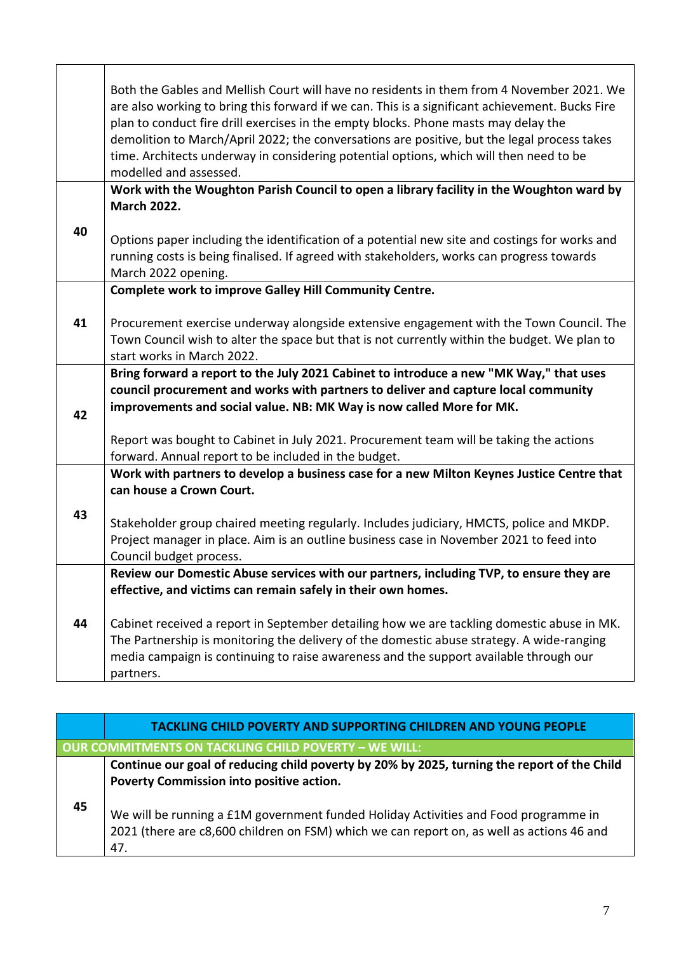|    | Both the Gables and Mellish Court will have no residents in them from 4 November 2021. We<br>are also working to bring this forward if we can. This is a significant achievement. Bucks Fire<br>plan to conduct fire drill exercises in the empty blocks. Phone masts may delay the<br>demolition to March/April 2022; the conversations are positive, but the legal process takes<br>time. Architects underway in considering potential options, which will then need to be<br>modelled and assessed. |
|----|--------------------------------------------------------------------------------------------------------------------------------------------------------------------------------------------------------------------------------------------------------------------------------------------------------------------------------------------------------------------------------------------------------------------------------------------------------------------------------------------------------|
|    | Work with the Woughton Parish Council to open a library facility in the Woughton ward by                                                                                                                                                                                                                                                                                                                                                                                                               |
|    | <b>March 2022.</b>                                                                                                                                                                                                                                                                                                                                                                                                                                                                                     |
| 40 | Options paper including the identification of a potential new site and costings for works and<br>running costs is being finalised. If agreed with stakeholders, works can progress towards<br>March 2022 opening.                                                                                                                                                                                                                                                                                      |
|    | <b>Complete work to improve Galley Hill Community Centre.</b>                                                                                                                                                                                                                                                                                                                                                                                                                                          |
|    |                                                                                                                                                                                                                                                                                                                                                                                                                                                                                                        |
| 41 | Procurement exercise underway alongside extensive engagement with the Town Council. The<br>Town Council wish to alter the space but that is not currently within the budget. We plan to<br>start works in March 2022.                                                                                                                                                                                                                                                                                  |
|    | Bring forward a report to the July 2021 Cabinet to introduce a new "MK Way," that uses                                                                                                                                                                                                                                                                                                                                                                                                                 |
|    | council procurement and works with partners to deliver and capture local community                                                                                                                                                                                                                                                                                                                                                                                                                     |
| 42 | improvements and social value. NB: MK Way is now called More for MK.                                                                                                                                                                                                                                                                                                                                                                                                                                   |
|    |                                                                                                                                                                                                                                                                                                                                                                                                                                                                                                        |
|    | Report was bought to Cabinet in July 2021. Procurement team will be taking the actions                                                                                                                                                                                                                                                                                                                                                                                                                 |
|    | forward. Annual report to be included in the budget.                                                                                                                                                                                                                                                                                                                                                                                                                                                   |
|    | Work with partners to develop a business case for a new Milton Keynes Justice Centre that                                                                                                                                                                                                                                                                                                                                                                                                              |
|    | can house a Crown Court.                                                                                                                                                                                                                                                                                                                                                                                                                                                                               |
| 43 | Stakeholder group chaired meeting regularly. Includes judiciary, HMCTS, police and MKDP.                                                                                                                                                                                                                                                                                                                                                                                                               |
|    | Project manager in place. Aim is an outline business case in November 2021 to feed into                                                                                                                                                                                                                                                                                                                                                                                                                |
|    | Council budget process.                                                                                                                                                                                                                                                                                                                                                                                                                                                                                |
|    | Review our Domestic Abuse services with our partners, including TVP, to ensure they are                                                                                                                                                                                                                                                                                                                                                                                                                |
|    | effective, and victims can remain safely in their own homes.                                                                                                                                                                                                                                                                                                                                                                                                                                           |
|    |                                                                                                                                                                                                                                                                                                                                                                                                                                                                                                        |
| 44 | Cabinet received a report in September detailing how we are tackling domestic abuse in MK.                                                                                                                                                                                                                                                                                                                                                                                                             |
|    | The Partnership is monitoring the delivery of the domestic abuse strategy. A wide-ranging                                                                                                                                                                                                                                                                                                                                                                                                              |
|    | media campaign is continuing to raise awareness and the support available through our                                                                                                                                                                                                                                                                                                                                                                                                                  |
|    | partners.                                                                                                                                                                                                                                                                                                                                                                                                                                                                                              |

|    | <b>TACKLING CHILD POVERTY AND SUPPORTING CHILDREN AND YOUNG PEOPLE</b>                                                                                                                  |  |
|----|-----------------------------------------------------------------------------------------------------------------------------------------------------------------------------------------|--|
|    | OUR COMMITMENTS ON TACKLING CHILD POVERTY - WE WILL:                                                                                                                                    |  |
|    | Continue our goal of reducing child poverty by 20% by 2025, turning the report of the Child<br>Poverty Commission into positive action.                                                 |  |
| 45 | We will be running a £1M government funded Holiday Activities and Food programme in<br>2021 (there are c8,600 children on FSM) which we can report on, as well as actions 46 and<br>47. |  |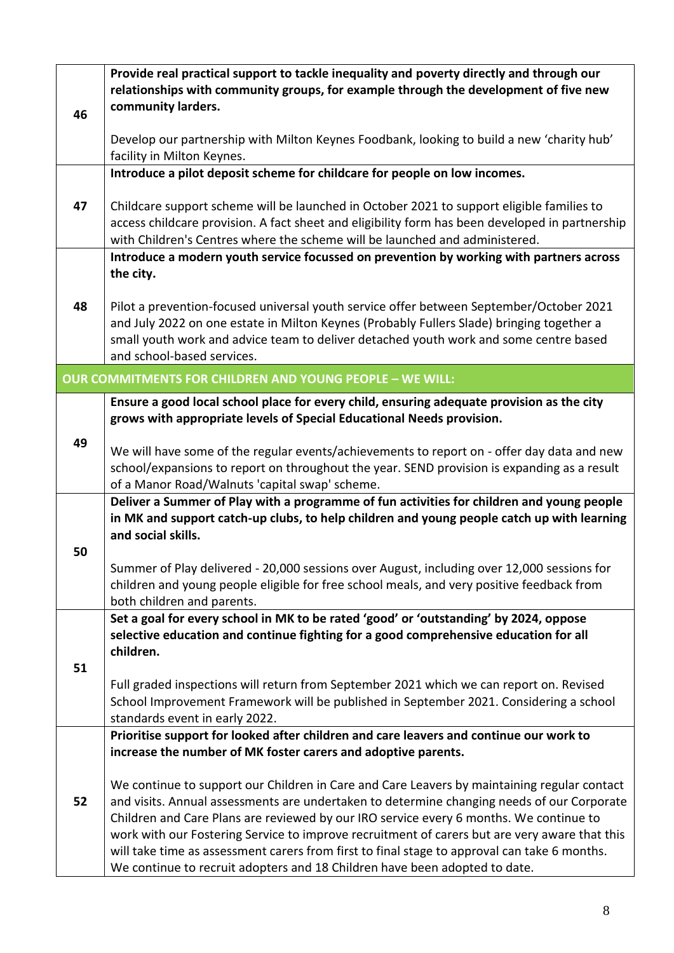|    | Provide real practical support to tackle inequality and poverty directly and through our        |
|----|-------------------------------------------------------------------------------------------------|
|    | relationships with community groups, for example through the development of five new            |
| 46 | community larders.                                                                              |
|    |                                                                                                 |
|    | Develop our partnership with Milton Keynes Foodbank, looking to build a new 'charity hub'       |
|    | facility in Milton Keynes.                                                                      |
|    | Introduce a pilot deposit scheme for childcare for people on low incomes.                       |
|    |                                                                                                 |
| 47 | Childcare support scheme will be launched in October 2021 to support eligible families to       |
|    | access childcare provision. A fact sheet and eligibility form has been developed in partnership |
|    | with Children's Centres where the scheme will be launched and administered.                     |
|    | Introduce a modern youth service focussed on prevention by working with partners across         |
|    | the city.                                                                                       |
|    |                                                                                                 |
| 48 | Pilot a prevention-focused universal youth service offer between September/October 2021         |
|    | and July 2022 on one estate in Milton Keynes (Probably Fullers Slade) bringing together a       |
|    | small youth work and advice team to deliver detached youth work and some centre based           |
|    | and school-based services.                                                                      |
|    | <b>OUR COMMITMENTS FOR CHILDREN AND YOUNG PEOPLE - WE WILL:</b>                                 |
|    | Ensure a good local school place for every child, ensuring adequate provision as the city       |
|    | grows with appropriate levels of Special Educational Needs provision.                           |
|    |                                                                                                 |
| 49 | We will have some of the regular events/achievements to report on - offer day data and new      |
|    | school/expansions to report on throughout the year. SEND provision is expanding as a result     |
|    | of a Manor Road/Walnuts 'capital swap' scheme.                                                  |
|    | Deliver a Summer of Play with a programme of fun activities for children and young people       |
|    | in MK and support catch-up clubs, to help children and young people catch up with learning      |
|    | and social skills.                                                                              |
| 50 |                                                                                                 |
|    | Summer of Play delivered - 20,000 sessions over August, including over 12,000 sessions for      |
|    | children and young people eligible for free school meals, and very positive feedback from       |
|    | both children and parents.                                                                      |
|    | Set a goal for every school in MK to be rated 'good' or 'outstanding' by 2024, oppose           |
|    | selective education and continue fighting for a good comprehensive education for all            |
|    | children.                                                                                       |
| 51 |                                                                                                 |
|    | Full graded inspections will return from September 2021 which we can report on. Revised         |
|    | School Improvement Framework will be published in September 2021. Considering a school          |
|    | standards event in early 2022.                                                                  |
|    | Prioritise support for looked after children and care leavers and continue our work to          |
|    | increase the number of MK foster carers and adoptive parents.                                   |
|    |                                                                                                 |
|    | We continue to support our Children in Care and Care Leavers by maintaining regular contact     |
| 52 | and visits. Annual assessments are undertaken to determine changing needs of our Corporate      |
|    | Children and Care Plans are reviewed by our IRO service every 6 months. We continue to          |
|    | work with our Fostering Service to improve recruitment of carers but are very aware that this   |
|    | will take time as assessment carers from first to final stage to approval can take 6 months.    |
|    | We continue to recruit adopters and 18 Children have been adopted to date.                      |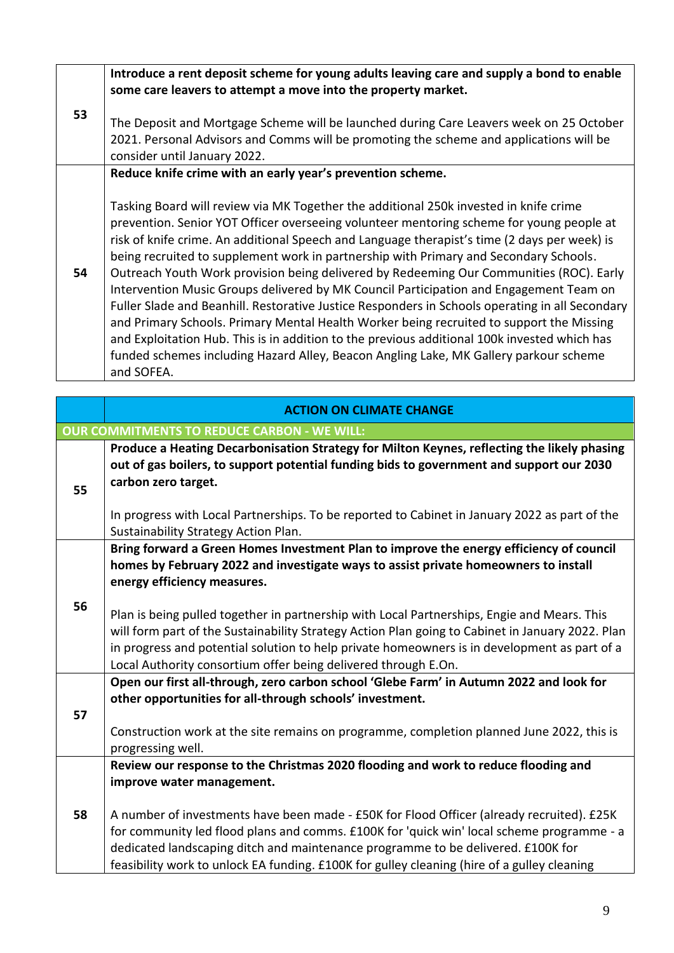|    | Introduce a rent deposit scheme for young adults leaving care and supply a bond to enable<br>some care leavers to attempt a move into the property market.                                                                                                                                                                                                                                                                                                                                                                                                                                                                                                                                                                                                                                                                                                                                                                                                            |
|----|-----------------------------------------------------------------------------------------------------------------------------------------------------------------------------------------------------------------------------------------------------------------------------------------------------------------------------------------------------------------------------------------------------------------------------------------------------------------------------------------------------------------------------------------------------------------------------------------------------------------------------------------------------------------------------------------------------------------------------------------------------------------------------------------------------------------------------------------------------------------------------------------------------------------------------------------------------------------------|
| 53 | The Deposit and Mortgage Scheme will be launched during Care Leavers week on 25 October<br>2021. Personal Advisors and Comms will be promoting the scheme and applications will be<br>consider until January 2022.                                                                                                                                                                                                                                                                                                                                                                                                                                                                                                                                                                                                                                                                                                                                                    |
|    | Reduce knife crime with an early year's prevention scheme.                                                                                                                                                                                                                                                                                                                                                                                                                                                                                                                                                                                                                                                                                                                                                                                                                                                                                                            |
| 54 | Tasking Board will review via MK Together the additional 250k invested in knife crime<br>prevention. Senior YOT Officer overseeing volunteer mentoring scheme for young people at<br>risk of knife crime. An additional Speech and Language therapist's time (2 days per week) is<br>being recruited to supplement work in partnership with Primary and Secondary Schools.<br>Outreach Youth Work provision being delivered by Redeeming Our Communities (ROC). Early<br>Intervention Music Groups delivered by MK Council Participation and Engagement Team on<br>Fuller Slade and Beanhill. Restorative Justice Responders in Schools operating in all Secondary<br>and Primary Schools. Primary Mental Health Worker being recruited to support the Missing<br>and Exploitation Hub. This is in addition to the previous additional 100k invested which has<br>funded schemes including Hazard Alley, Beacon Angling Lake, MK Gallery parkour scheme<br>and SOFEA. |

|                                                    | <b>ACTION ON CLIMATE CHANGE</b>                                                                                                                                                                                                                                                                                                                                                                                                                                                              |  |  |
|----------------------------------------------------|----------------------------------------------------------------------------------------------------------------------------------------------------------------------------------------------------------------------------------------------------------------------------------------------------------------------------------------------------------------------------------------------------------------------------------------------------------------------------------------------|--|--|
| <b>OUR COMMITMENTS TO REDUCE CARBON - WE WILL:</b> |                                                                                                                                                                                                                                                                                                                                                                                                                                                                                              |  |  |
| 55                                                 | Produce a Heating Decarbonisation Strategy for Milton Keynes, reflecting the likely phasing<br>out of gas boilers, to support potential funding bids to government and support our 2030<br>carbon zero target.                                                                                                                                                                                                                                                                               |  |  |
|                                                    | In progress with Local Partnerships. To be reported to Cabinet in January 2022 as part of the<br>Sustainability Strategy Action Plan.                                                                                                                                                                                                                                                                                                                                                        |  |  |
|                                                    | Bring forward a Green Homes Investment Plan to improve the energy efficiency of council<br>homes by February 2022 and investigate ways to assist private homeowners to install<br>energy efficiency measures.                                                                                                                                                                                                                                                                                |  |  |
| 56                                                 | Plan is being pulled together in partnership with Local Partnerships, Engie and Mears. This<br>will form part of the Sustainability Strategy Action Plan going to Cabinet in January 2022. Plan<br>in progress and potential solution to help private homeowners is in development as part of a<br>Local Authority consortium offer being delivered through E.On.                                                                                                                            |  |  |
| 57                                                 | Open our first all-through, zero carbon school 'Glebe Farm' in Autumn 2022 and look for<br>other opportunities for all-through schools' investment.<br>Construction work at the site remains on programme, completion planned June 2022, this is<br>progressing well.                                                                                                                                                                                                                        |  |  |
| 58                                                 | Review our response to the Christmas 2020 flooding and work to reduce flooding and<br>improve water management.<br>A number of investments have been made - £50K for Flood Officer (already recruited). £25K<br>for community led flood plans and comms. £100K for 'quick win' local scheme programme - a<br>dedicated landscaping ditch and maintenance programme to be delivered. £100K for<br>feasibility work to unlock EA funding. £100K for gulley cleaning (hire of a gulley cleaning |  |  |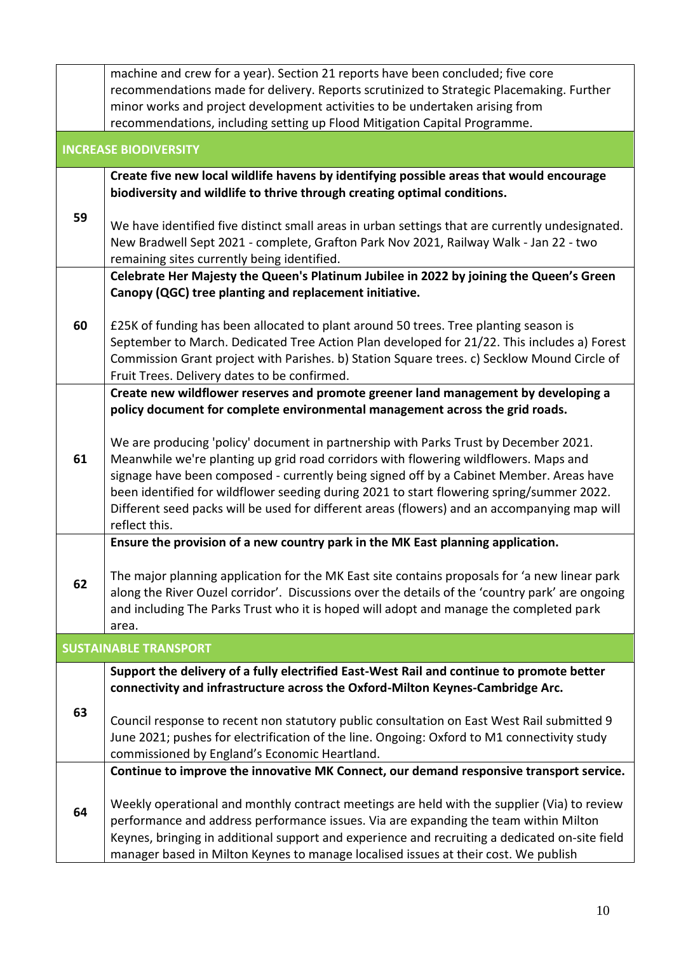|                              | machine and crew for a year). Section 21 reports have been concluded; five core                                                                                                                  |  |
|------------------------------|--------------------------------------------------------------------------------------------------------------------------------------------------------------------------------------------------|--|
|                              | recommendations made for delivery. Reports scrutinized to Strategic Placemaking. Further                                                                                                         |  |
|                              | minor works and project development activities to be undertaken arising from                                                                                                                     |  |
|                              | recommendations, including setting up Flood Mitigation Capital Programme.                                                                                                                        |  |
| <b>INCREASE BIODIVERSITY</b> |                                                                                                                                                                                                  |  |
|                              | Create five new local wildlife havens by identifying possible areas that would encourage                                                                                                         |  |
|                              | biodiversity and wildlife to thrive through creating optimal conditions.                                                                                                                         |  |
| 59                           |                                                                                                                                                                                                  |  |
|                              | We have identified five distinct small areas in urban settings that are currently undesignated.<br>New Bradwell Sept 2021 - complete, Grafton Park Nov 2021, Railway Walk - Jan 22 - two         |  |
|                              | remaining sites currently being identified.                                                                                                                                                      |  |
|                              | Celebrate Her Majesty the Queen's Platinum Jubilee in 2022 by joining the Queen's Green                                                                                                          |  |
|                              | Canopy (QGC) tree planting and replacement initiative.                                                                                                                                           |  |
|                              |                                                                                                                                                                                                  |  |
| 60                           | £25K of funding has been allocated to plant around 50 trees. Tree planting season is                                                                                                             |  |
|                              | September to March. Dedicated Tree Action Plan developed for 21/22. This includes a) Forest                                                                                                      |  |
|                              | Commission Grant project with Parishes. b) Station Square trees. c) Secklow Mound Circle of<br>Fruit Trees. Delivery dates to be confirmed.                                                      |  |
|                              | Create new wildflower reserves and promote greener land management by developing a                                                                                                               |  |
|                              | policy document for complete environmental management across the grid roads.                                                                                                                     |  |
|                              |                                                                                                                                                                                                  |  |
|                              | We are producing 'policy' document in partnership with Parks Trust by December 2021.                                                                                                             |  |
| 61                           | Meanwhile we're planting up grid road corridors with flowering wildflowers. Maps and                                                                                                             |  |
|                              | signage have been composed - currently being signed off by a Cabinet Member. Areas have<br>been identified for wildflower seeding during 2021 to start flowering spring/summer 2022.             |  |
|                              | Different seed packs will be used for different areas (flowers) and an accompanying map will                                                                                                     |  |
|                              | reflect this.                                                                                                                                                                                    |  |
|                              | Ensure the provision of a new country park in the MK East planning application.                                                                                                                  |  |
|                              |                                                                                                                                                                                                  |  |
| 62                           | The major planning application for the MK East site contains proposals for 'a new linear park<br>along the River Ouzel corridor'. Discussions over the details of the 'country park' are ongoing |  |
|                              | and including The Parks Trust who it is hoped will adopt and manage the completed park                                                                                                           |  |
|                              | area.                                                                                                                                                                                            |  |
|                              | <b>SUSTAINABLE TRANSPORT</b>                                                                                                                                                                     |  |
|                              | Support the delivery of a fully electrified East-West Rail and continue to promote better                                                                                                        |  |
|                              | connectivity and infrastructure across the Oxford-Milton Keynes-Cambridge Arc.                                                                                                                   |  |
| 63                           |                                                                                                                                                                                                  |  |
|                              | Council response to recent non statutory public consultation on East West Rail submitted 9<br>June 2021; pushes for electrification of the line. Ongoing: Oxford to M1 connectivity study        |  |
|                              | commissioned by England's Economic Heartland.                                                                                                                                                    |  |
|                              | Continue to improve the innovative MK Connect, our demand responsive transport service.                                                                                                          |  |
|                              |                                                                                                                                                                                                  |  |
| 64                           | Weekly operational and monthly contract meetings are held with the supplier (Via) to review                                                                                                      |  |
|                              | performance and address performance issues. Via are expanding the team within Milton                                                                                                             |  |
|                              | Keynes, bringing in additional support and experience and recruiting a dedicated on-site field                                                                                                   |  |
|                              | manager based in Milton Keynes to manage localised issues at their cost. We publish                                                                                                              |  |